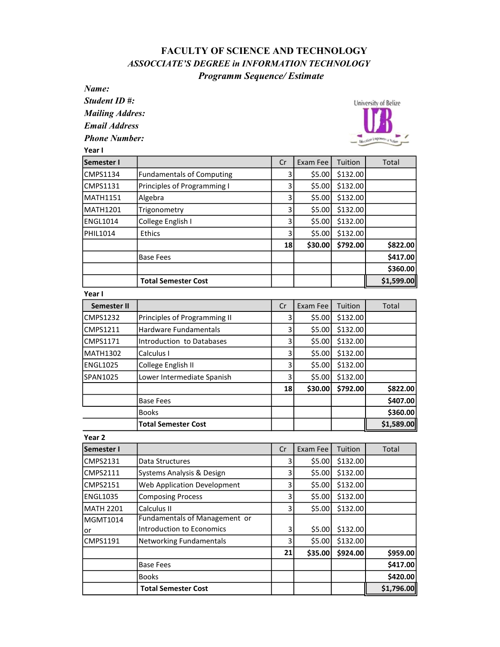## FACULTY OF SCIENCE AND TECHNOLOGY ASSOCCIATE'S DEGREE in INFORMATION TECHNOLOGY Programm Sequence/ Estimate

Name:

Student ID #:

Mailing Addres:

Email Address

Phone Number:



| Year I          |                                  |    |          |          |            |
|-----------------|----------------------------------|----|----------|----------|------------|
| Semester I      |                                  | Cr | Exam Fee | Tuition  | Total      |
| <b>CMPS1134</b> | <b>Fundamentals of Computing</b> | 3  | \$5.00   | \$132.00 |            |
| <b>CMPS1131</b> | Principles of Programming I      | 3  | \$5.00   | \$132.00 |            |
| MATH1151        | Algebra                          | 3  | \$5.00   | \$132.00 |            |
| MATH1201        | Trigonometry                     | 3  | \$5.00   | \$132.00 |            |
| <b>ENGL1014</b> | College English I                | 3  | \$5.00   | \$132.00 |            |
| PHIL1014        | <b>Ethics</b>                    | 3  | \$5.00   | \$132.00 |            |
|                 |                                  | 18 | \$30.00  | \$792.00 | \$822.00   |
|                 | <b>Base Fees</b>                 |    |          |          | \$417.00   |
|                 |                                  |    |          |          | \$360.00   |
|                 | <b>Total Semester Cost</b>       |    |          |          | \$1,599.00 |

Year I

| Semester II |                              | Cr | Exam Fee | Tuition  | Total      |
|-------------|------------------------------|----|----------|----------|------------|
| ICMPS1232   | Principles of Programming II | 3  | \$5.00   | \$132.00 |            |
| CMPS1211    | Hardware Fundamentals        | 3  | \$5.00   | \$132.00 |            |
| lCMPS1171   | Introduction to Databases    | 3  | \$5.00   | \$132.00 |            |
| MATH1302    | Calculus I                   | 3  | \$5.00   | \$132.00 |            |
| ENGL1025    | College English II           | 3  | \$5.00   | \$132.00 |            |
| ISPAN1025   | Lower Intermediate Spanish   | 3  | \$5.00   | \$132.00 |            |
|             |                              | 18 | \$30.00  | \$792.00 | \$822.00   |
|             | <b>Base Fees</b>             |    |          |          | \$407.00   |
|             | <b>Books</b>                 |    |          |          | \$360.00   |
|             | <b>Total Semester Cost</b>   |    |          |          | \$1,589.00 |

Year 2

| <b>Semester I</b> |                               | Cr | Exam Fee | Tuition  | Total      |
|-------------------|-------------------------------|----|----------|----------|------------|
| CMPS2131          | Data Structures               | 3  | \$5.00   | \$132.00 |            |
| CMPS2111          | Systems Analysis & Design     | 3  | \$5.00   | \$132.00 |            |
| CMPS2151          | Web Application Development   | 3  | \$5.00   | \$132.00 |            |
| ENGL1035          | <b>Composing Process</b>      | 3  | \$5.00   | \$132.00 |            |
| <b>IMATH 2201</b> | Calculus II                   | 3  | \$5.00   | \$132.00 |            |
| MGMT1014          | Fundamentals of Management or |    |          |          |            |
| or                | Introduction to Economics     | 3  | \$5.00   | \$132.00 |            |
| CMPS1191          | Networking Fundamentals       | 3  | \$5.00   | \$132.00 |            |
|                   |                               | 21 | \$35.00  | \$924.00 | \$959.00   |
|                   | <b>Base Fees</b>              |    |          |          | \$417.00   |
|                   | <b>Books</b>                  |    |          |          | \$420.00   |
|                   | <b>Total Semester Cost</b>    |    |          |          | \$1,796.00 |